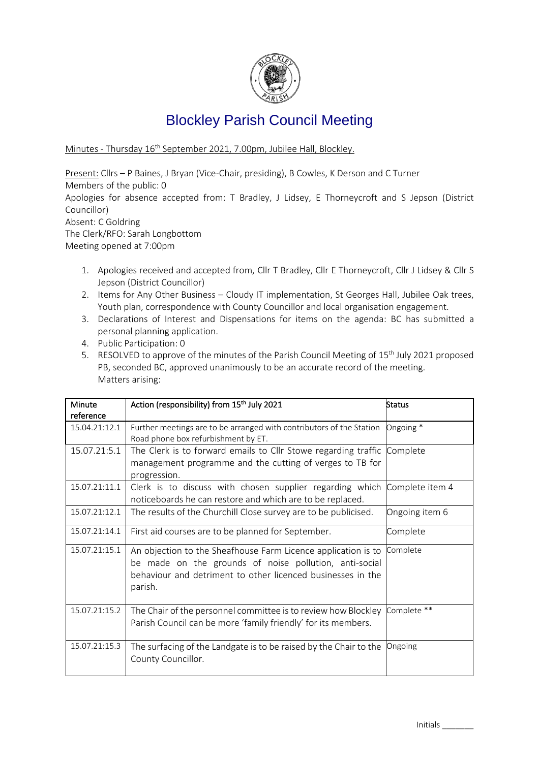

# Blockley Parish Council Meeting

Minutes - Thursday 16 th September 2021, 7.00pm, Jubilee Hall, Blockley.

Present: Cllrs – P Baines, J Bryan (Vice-Chair, presiding), B Cowles, K Derson and C Turner Members of the public: 0 Apologies for absence accepted from: T Bradley, J Lidsey, E Thorneycroft and S Jepson (District Councillor) Absent: C Goldring The Clerk/RFO: Sarah Longbottom Meeting opened at 7:00pm

- 1. Apologies received and accepted from, Cllr T Bradley, Cllr E Thorneycroft, Cllr J Lidsey & Cllr S Jepson (District Councillor)
- 2. Items for Any Other Business Cloudy IT implementation, St Georges Hall, Jubilee Oak trees, Youth plan, correspondence with County Councillor and local organisation engagement.
- 3. Declarations of Interest and Dispensations for items on the agenda: BC has submitted a personal planning application.
- 4. Public Participation: 0
- 5. RESOLVED to approve of the minutes of the Parish Council Meeting of 15<sup>th</sup> July 2021 proposed PB, seconded BC, approved unanimously to be an accurate record of the meeting. Matters arising:

| Minute<br>reference | Action (responsibility) from 15 <sup>th</sup> July 2021                                                                                                                                           | <b>Status</b>   |
|---------------------|---------------------------------------------------------------------------------------------------------------------------------------------------------------------------------------------------|-----------------|
| 15.04.21:12.1       | Further meetings are to be arranged with contributors of the Station<br>Road phone box refurbishment by ET.                                                                                       | Ongoing *       |
| 15.07.21:5.1        | The Clerk is to forward emails to Cllr Stowe regarding traffic<br>management programme and the cutting of verges to TB for<br>progression.                                                        | Complete        |
| 15.07.21:11.1       | Clerk is to discuss with chosen supplier regarding which<br>noticeboards he can restore and which are to be replaced.                                                                             | Complete item 4 |
| 15.07.21:12.1       | The results of the Churchill Close survey are to be publicised.                                                                                                                                   | Ongoing item 6  |
| 15.07.21:14.1       | First aid courses are to be planned for September.                                                                                                                                                | Complete        |
| 15.07.21:15.1       | An objection to the Sheafhouse Farm Licence application is to<br>be made on the grounds of noise pollution, anti-social<br>behaviour and detriment to other licenced businesses in the<br>parish. | Complete        |
| 15.07.21:15.2       | The Chair of the personnel committee is to review how Blockley<br>Parish Council can be more 'family friendly' for its members.                                                                   | Complete **     |
| 15.07.21:15.3       | The surfacing of the Landgate is to be raised by the Chair to the<br>County Councillor.                                                                                                           | Ongoing         |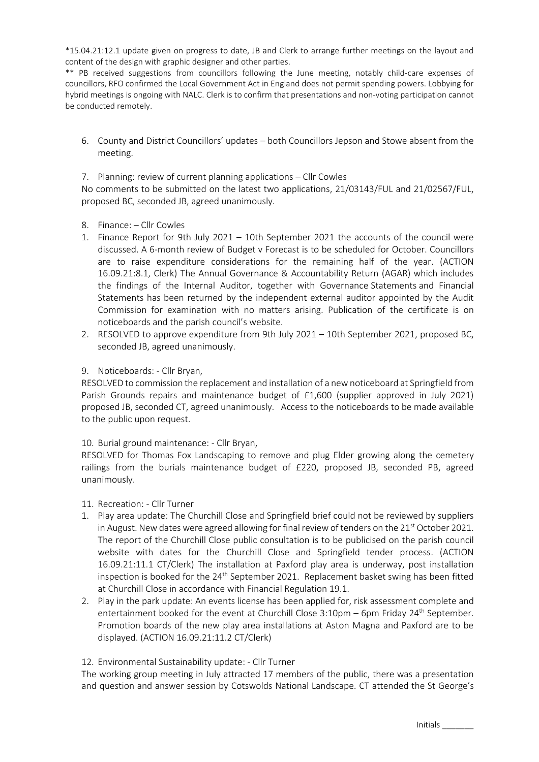\*15.04.21:12.1 update given on progress to date, JB and Clerk to arrange further meetings on the layout and content of the design with graphic designer and other parties.

\*\* PB received suggestions from councillors following the June meeting, notably child-care expenses of councillors, RFO confirmed the Local Government Act in England does not permit spending powers. Lobbying for hybrid meetings is ongoing with NALC. Clerk is to confirm that presentations and non-voting participation cannot be conducted remotely.

- 6. County and District Councillors' updates both Councillors Jepson and Stowe absent from the meeting.
- 7. Planning: review of current planning applications Cllr Cowles

No comments to be submitted on the latest two applications, 21/03143/FUL and 21/02567/FUL, proposed BC, seconded JB, agreed unanimously.

- 8. Finance: Cllr Cowles
- 1. Finance Report for 9th July 2021 10th September 2021 the accounts of the council were discussed. A 6-month review of Budget v Forecast is to be scheduled for October. Councillors are to raise expenditure considerations for the remaining half of the year. (ACTION 16.09.21:8.1, Clerk) The Annual Governance & Accountability Return (AGAR) which includes the findings of the Internal Auditor, together with Governance Statements and Financial Statements has been returned by the independent external auditor appointed by the Audit Commission for examination with no matters arising. Publication of the certificate is on noticeboards and the parish council's website.
- 2. RESOLVED to approve expenditure from 9th July 2021 10th September 2021, proposed BC, seconded JB, agreed unanimously.

### 9. Noticeboards: - Cllr Bryan,

RESOLVED to commission the replacement and installation of a new noticeboard at Springfield from Parish Grounds repairs and maintenance budget of £1,600 (supplier approved in July 2021) proposed JB, seconded CT, agreed unanimously. Access to the noticeboards to be made available to the public upon request.

#### 10. Burial ground maintenance: - Cllr Bryan,

RESOLVED for Thomas Fox Landscaping to remove and plug Elder growing along the cemetery railings from the burials maintenance budget of £220, proposed JB, seconded PB, agreed unanimously.

#### 11. Recreation: - Cllr Turner

- 1. Play area update: The Churchill Close and Springfield brief could not be reviewed by suppliers in August. New dates were agreed allowing for final review of tenders on the 21<sup>st</sup> October 2021. The report of the Churchill Close public consultation is to be publicised on the parish council website with dates for the Churchill Close and Springfield tender process. (ACTION 16.09.21:11.1 CT/Clerk) The installation at Paxford play area is underway, post installation inspection is booked for the 24<sup>th</sup> September 2021. Replacement basket swing has been fitted at Churchill Close in accordance with Financial Regulation 19.1.
- 2. Play in the park update: An events license has been applied for, risk assessment complete and entertainment booked for the event at Churchill Close  $3:10 \text{pm} - 6 \text{pm}$  Friday 24<sup>th</sup> September. Promotion boards of the new play area installations at Aston Magna and Paxford are to be displayed. (ACTION 16.09.21:11.2 CT/Clerk)

#### 12. Environmental Sustainability update: - Cllr Turner

The working group meeting in July attracted 17 members of the public, there was a presentation and question and answer session by Cotswolds National Landscape. CT attended the St George's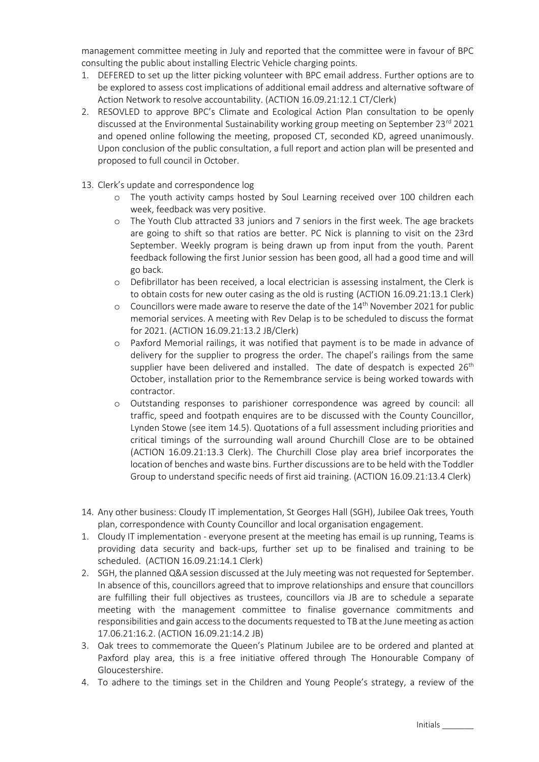management committee meeting in July and reported that the committee were in favour of BPC consulting the public about installing Electric Vehicle charging points.

- 1. DEFERED to set up the litter picking volunteer with BPC email address. Further options are to be explored to assess cost implications of additional email address and alternative software of Action Network to resolve accountability. (ACTION 16.09.21:12.1 CT/Clerk)
- 2. RESOVLED to approve BPC's Climate and Ecological Action Plan consultation to be openly discussed at the Environmental Sustainability working group meeting on September 23<sup>rd</sup> 2021 and opened online following the meeting, proposed CT, seconded KD, agreed unanimously. Upon conclusion of the public consultation, a full report and action plan will be presented and proposed to full council in October.
- 13. Clerk's update and correspondence log
	- o The youth activity camps hosted by Soul Learning received over 100 children each week, feedback was very positive.
	- o The Youth Club attracted 33 juniors and 7 seniors in the first week. The age brackets are going to shift so that ratios are better. PC Nick is planning to visit on the 23rd September. Weekly program is being drawn up from input from the youth. Parent feedback following the first Junior session has been good, all had a good time and will go back.
	- o Defibrillator has been received, a local electrician is assessing instalment, the Clerk is to obtain costs for new outer casing as the old is rusting (ACTION 16.09.21:13.1 Clerk)
	- $\circ$  Councillors were made aware to reserve the date of the  $14<sup>th</sup>$  November 2021 for public memorial services. A meeting with Rev Delap is to be scheduled to discuss the format for 2021. (ACTION 16.09.21:13.2 JB/Clerk)
	- o Paxford Memorial railings, it was notified that payment is to be made in advance of delivery for the supplier to progress the order. The chapel's railings from the same supplier have been delivered and installed. The date of despatch is expected  $26<sup>th</sup>$ October, installation prior to the Remembrance service is being worked towards with contractor.
	- o Outstanding responses to parishioner correspondence was agreed by council: all traffic, speed and footpath enquires are to be discussed with the County Councillor, Lynden Stowe (see item 14.5). Quotations of a full assessment including priorities and critical timings of the surrounding wall around Churchill Close are to be obtained (ACTION 16.09.21:13.3 Clerk). The Churchill Close play area brief incorporates the location of benches and waste bins. Further discussions are to be held with the Toddler Group to understand specific needs of first aid training. (ACTION 16.09.21:13.4 Clerk)
- 14. Any other business: Cloudy IT implementation, St Georges Hall (SGH), Jubilee Oak trees, Youth plan, correspondence with County Councillor and local organisation engagement.
- 1. Cloudy IT implementation everyone present at the meeting has email is up running, Teams is providing data security and back-ups, further set up to be finalised and training to be scheduled. (ACTION 16.09.21:14.1 Clerk)
- 2. SGH, the planned Q&A session discussed at the July meeting was not requested for September. In absence of this, councillors agreed that to improve relationships and ensure that councillors are fulfilling their full objectives as trustees, councillors via JB are to schedule a separate meeting with the management committee to finalise governance commitments and responsibilities and gain access to the documents requested to TB at the June meeting as action 17.06.21:16.2. (ACTION 16.09.21:14.2 JB)
- 3. Oak trees to commemorate the Queen's Platinum Jubilee are to be ordered and planted at Paxford play area, this is a free initiative offered through The Honourable Company of Gloucestershire.
- 4. To adhere to the timings set in the Children and Young People's strategy, a review of the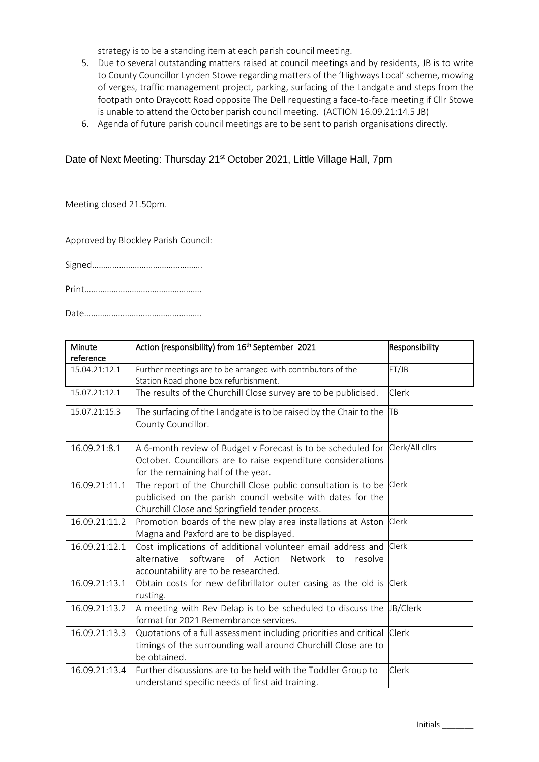strategy is to be a standing item at each parish council meeting.

- 5. Due to several outstanding matters raised at council meetings and by residents, JB is to write to County Councillor Lynden Stowe regarding matters of the 'Highways Local' scheme, mowing of verges, traffic management project, parking, surfacing of the Landgate and steps from the footpath onto Draycott Road opposite The Dell requesting a face-to-face meeting if Cllr Stowe is unable to attend the October parish council meeting. (ACTION 16.09.21:14.5 JB)
- 6. Agenda of future parish council meetings are to be sent to parish organisations directly.

## Date of Next Meeting: Thursday 21<sup>st</sup> October 2021, Little Village Hall, 7pm

Meeting closed 21.50pm.

Approved by Blockley Parish Council:

Signed………………………………………….

Print…………………………………………….

Date…………………………………………….

| Minute<br>reference | Action (responsibility) from 16 <sup>th</sup> September 2021                                                                                                                           | Responsibility |
|---------------------|----------------------------------------------------------------------------------------------------------------------------------------------------------------------------------------|----------------|
| 15.04.21:12.1       | Further meetings are to be arranged with contributors of the<br>Station Road phone box refurbishment.                                                                                  | ET/JB          |
| 15.07.21:12.1       | The results of the Churchill Close survey are to be publicised.                                                                                                                        | <b>Clerk</b>   |
| 15.07.21:15.3       | The surfacing of the Landgate is to be raised by the Chair to the<br>County Councillor.                                                                                                | <b>TB</b>      |
| 16.09.21:8.1        | A 6-month review of Budget v Forecast is to be scheduled for Clerk/All cllrs<br>October. Councillors are to raise expenditure considerations<br>for the remaining half of the year.    |                |
| 16.09.21:11.1       | The report of the Churchill Close public consultation is to be Clerk<br>publicised on the parish council website with dates for the<br>Churchill Close and Springfield tender process. |                |
| 16.09.21:11.2       | Promotion boards of the new play area installations at Aston<br>Magna and Paxford are to be displayed.                                                                                 | Clerk          |
| 16.09.21:12.1       | Cost implications of additional volunteer email address and Clerk<br>alternative software of Action<br>Network<br>resolve<br>to<br>accountability are to be researched.                |                |
| 16.09.21:13.1       | Obtain costs for new defibrillator outer casing as the old is Clerk<br>rusting.                                                                                                        |                |
| 16.09.21:13.2       | A meeting with Rev Delap is to be scheduled to discuss the $\mu$ B/Clerk<br>format for 2021 Remembrance services.                                                                      |                |
| 16.09.21:13.3       | Quotations of a full assessment including priorities and critical Clerk<br>timings of the surrounding wall around Churchill Close are to<br>be obtained.                               |                |
| 16.09.21:13.4       | Further discussions are to be held with the Toddler Group to<br>understand specific needs of first aid training.                                                                       | Clerk          |